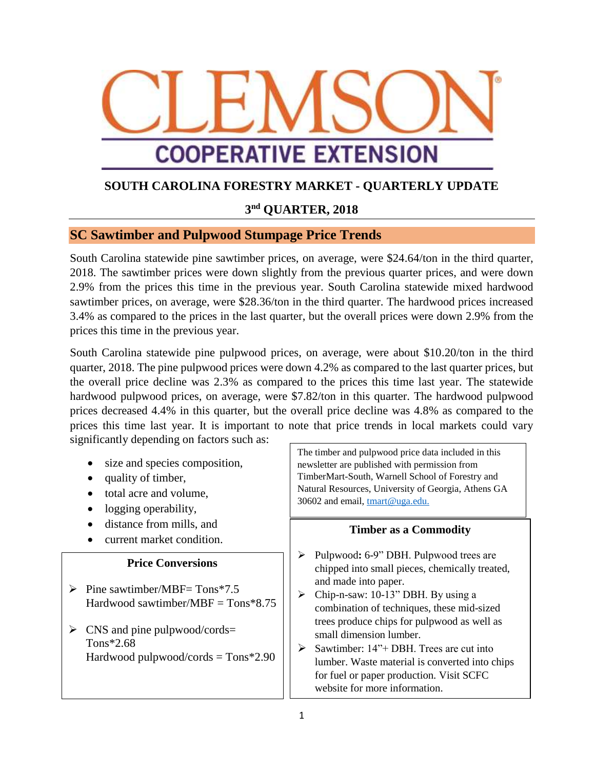

# **SOUTH CAROLINA FORESTRY MARKET - QUARTERLY UPDATE**

### **3 nd QUARTER, 2018**

### **SC Sawtimber and Pulpwood Stumpage Price Trends**

South Carolina statewide pine sawtimber prices, on average, were \$24.64/ton in the third quarter, 2018. The sawtimber prices were down slightly from the previous quarter prices, and were down 2.9% from the prices this time in the previous year. South Carolina statewide mixed hardwood sawtimber prices, on average, were \$28.36/ton in the third quarter. The hardwood prices increased 3.4% as compared to the prices in the last quarter, but the overall prices were down 2.9% from the prices this time in the previous year.

South Carolina statewide pine pulpwood prices, on average, were about \$10.20/ton in the third quarter, 2018. The pine pulpwood prices were down 4.2% as compared to the last quarter prices, but the overall price decline was 2.3% as compared to the prices this time last year. The statewide hardwood pulpwood prices, on average, were \$7.82/ton in this quarter. The hardwood pulpwood prices decreased 4.4% in this quarter, but the overall price decline was 4.8% as compared to the prices this time last year. It is important to note that price trends in local markets could vary significantly depending on factors such as:

- size and species composition,
- quality of timber,
- total acre and volume,
- logging operability,
- distance from mills, and
- current market condition.

#### **Price Conversions**

- $\triangleright$  Pine sawtimber/MBF= Tons\*7.5 Hardwood sawtimber/MBF =  $T$ ons\*8.75
- $\triangleright$  CNS and pine pulpwood/cords= Tons\*2.68 Hardwood pulpwood/cords = Tons\*2.90

The timber and pulpwood price data included in this newsletter are published with permission from TimberMart-South, Warnell School of Forestry and Natural Resources, University of Georgia, Athens GA 30602 and email, [tmart@uga.edu.](mailto:tmart@uga.edu)

#### **Timber as a Commodity**

- Pulpwood**:** 6-9" DBH. Pulpwood trees are chipped into small pieces, chemically treated, and made into paper.
- $\triangleright$  Chip-n-saw: 10-13" DBH. By using a combination of techniques, these mid-sized trees produce chips for pulpwood as well as small dimension lumber.
- $\triangleright$  Sawtimber: 14"+ DBH. Trees are cut into lumber. Waste material is converted into chips for fuel or paper production. Visit SCFC website for more information.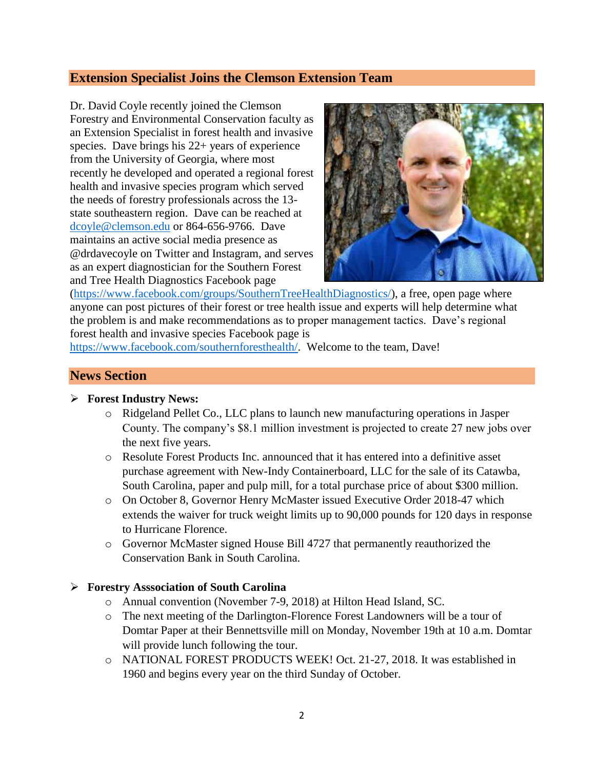# **Extension Specialist Joins the Clemson Extension Team**

Dr. David Coyle recently joined the Clemson Forestry and Environmental Conservation faculty as an Extension Specialist in forest health and invasive species. Dave brings his 22+ years of experience from the University of Georgia, where most recently he developed and operated a regional forest health and invasive species program which served the needs of forestry professionals across the 13 state southeastern region. Dave can be reached at [dcoyle@clemson.edu](mailto:dcoyle@clemson.edu) or 864-656-9766. Dave maintains an active social media presence as @drdavecoyle on Twitter and Instagram, and serves as an expert diagnostician for the Southern Forest and Tree Health Diagnostics Facebook page



[\(https://www.facebook.com/groups/SouthernTreeHealthDiagnostics/\)](https://www.facebook.com/groups/SouthernTreeHealthDiagnostics/), a free, open page where anyone can post pictures of their forest or tree health issue and experts will help determine what the problem is and make recommendations as to proper management tactics. Dave's regional forest health and invasive species Facebook page is

[https://www.facebook.com/southernforesthealth/.](https://www.facebook.com/southernforesthealth/) Welcome to the team, Dave!

### **News Section**

#### **Forest Industry News:**

- o Ridgeland Pellet Co., LLC plans to launch new manufacturing operations in Jasper County. The company's \$8.1 million investment is projected to create 27 new jobs over the next five years.
- o Resolute Forest Products Inc. announced that it has entered into a definitive asset purchase agreement with New-Indy Containerboard, LLC for the sale of its Catawba, South Carolina, paper and pulp mill, for a total purchase price of about \$300 million.
- o On October 8, Governor Henry McMaster issued Executive Order 2018-47 which extends the waiver for truck weight limits up to 90,000 pounds for 120 days in response to Hurricane Florence.
- o Governor McMaster signed House Bill 4727 that permanently reauthorized the Conservation Bank in South Carolina.

#### **Forestry Asssociation of South Carolina**

- o Annual convention (November 7-9, 2018) at Hilton Head Island, SC.
- o The next meeting of the Darlington-Florence Forest Landowners will be a tour of Domtar Paper at their Bennettsville mill on Monday, November 19th at 10 a.m. Domtar will provide lunch following the tour.
- o NATIONAL FOREST PRODUCTS WEEK! Oct. 21-27, 2018. It was established in 1960 and begins every year on the third Sunday of October.